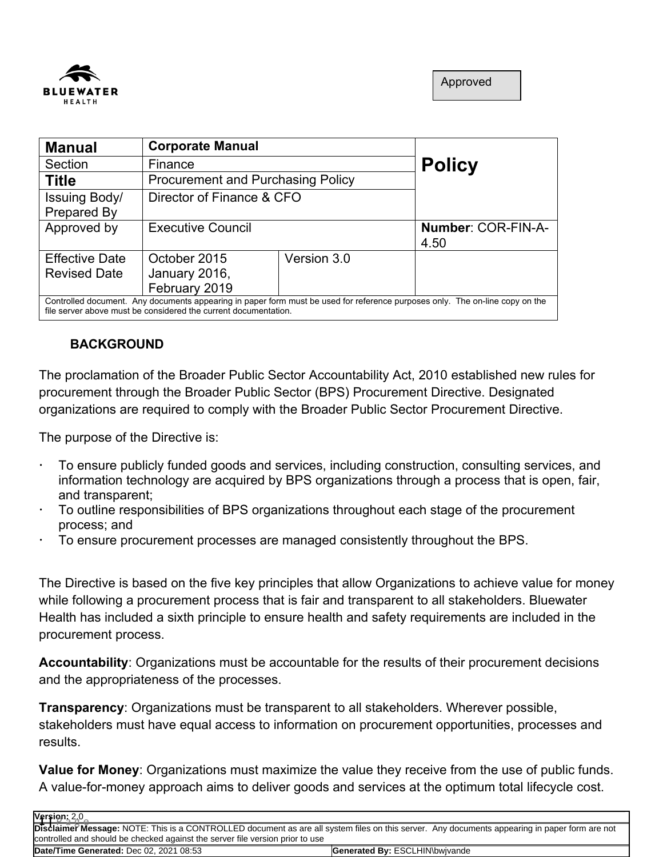

| <b>Manual</b>                                                                                                                                                                                   | <b>Corporate Manual</b>   |                                          |                    |
|-------------------------------------------------------------------------------------------------------------------------------------------------------------------------------------------------|---------------------------|------------------------------------------|--------------------|
| Section                                                                                                                                                                                         | Finance                   |                                          | <b>Policy</b>      |
| <b>Title</b>                                                                                                                                                                                    |                           | <b>Procurement and Purchasing Policy</b> |                    |
| Issuing Body/                                                                                                                                                                                   | Director of Finance & CFO |                                          |                    |
| Prepared By                                                                                                                                                                                     |                           |                                          |                    |
| Approved by                                                                                                                                                                                     | <b>Executive Council</b>  |                                          | Number: COR-FIN-A- |
|                                                                                                                                                                                                 |                           |                                          | 4.50               |
| <b>Effective Date</b>                                                                                                                                                                           | October 2015              | Version 3.0                              |                    |
| <b>Revised Date</b>                                                                                                                                                                             | January 2016,             |                                          |                    |
|                                                                                                                                                                                                 | February 2019             |                                          |                    |
| Controlled document. Any documents appearing in paper form must be used for reference purposes only. The on-line copy on the<br>file server above must be considered the current documentation. |                           |                                          |                    |

# **BACKGROUND**

The proclamation of the Broader Public Sector Accountability Act, 2010 established new rules for procurement through the Broader Public Sector (BPS) Procurement Directive. Designated organizations are required to comply with the Broader Public Sector Procurement Directive.

The purpose of the Directive is:

- To ensure publicly funded goods and services, including construction, consulting services, and information technology are acquired by BPS organizations through a process that is open, fair, and transparent;
- To outline responsibilities of BPS organizations throughout each stage of the procurement process; and
- To ensure procurement processes are managed consistently throughout the BPS.

The Directive is based on the five key principles that allow Organizations to achieve value for money while following a procurement process that is fair and transparent to all stakeholders. Bluewater Health has included a sixth principle to ensure health and safety requirements are included in the procurement process.

**Accountability**: Organizations must be accountable for the results of their procurement decisions and the appropriateness of the processes.

**Transparency**: Organizations must be transparent to all stakeholders. Wherever possible, stakeholders must have equal access to information on procurement opportunities, processes and results.

**Value for Money**: Organizations must maximize the value they receive from the use of public funds. A value-for-money approach aims to deliver goods and services at the optimum total lifecycle cost.

| Version: 2,0<br>Disclaimer Message: NOTE: This is a CONTROLLED document as are all system files on this server. Any documents appearing in paper form are not |                                       |  |
|---------------------------------------------------------------------------------------------------------------------------------------------------------------|---------------------------------------|--|
| controlled and should be checked against the server file version prior to use                                                                                 |                                       |  |
| Date/Time Generated: Dec 02, 2021 08:53                                                                                                                       | <b>Generated By: ESCLHIN\bwivande</b> |  |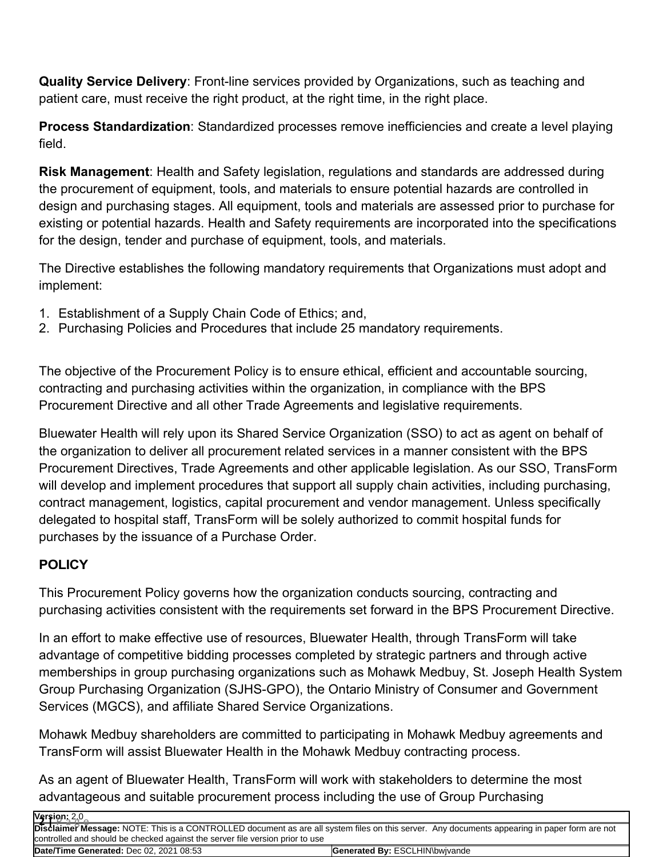**Quality Service Delivery**: Front-line services provided by Organizations, such as teaching and patient care, must receive the right product, at the right time, in the right place.

**Process Standardization**: Standardized processes remove inefficiencies and create a level playing field.

**Risk Management**: Health and Safety legislation, regulations and standards are addressed during the procurement of equipment, tools, and materials to ensure potential hazards are controlled in design and purchasing stages. All equipment, tools and materials are assessed prior to purchase for existing or potential hazards. Health and Safety requirements are incorporated into the specifications for the design, tender and purchase of equipment, tools, and materials.

The Directive establishes the following mandatory requirements that Organizations must adopt and implement:

- 1. Establishment of a Supply Chain Code of Ethics; and,
- 2. Purchasing Policies and Procedures that include 25 mandatory requirements.

The objective of the Procurement Policy is to ensure ethical, efficient and accountable sourcing, contracting and purchasing activities within the organization, in compliance with the BPS Procurement Directive and all other Trade Agreements and legislative requirements.

Bluewater Health will rely upon its Shared Service Organization (SSO) to act as agent on behalf of the organization to deliver all procurement related services in a manner consistent with the BPS Procurement Directives, Trade Agreements and other applicable legislation. As our SSO, TransForm will develop and implement procedures that support all supply chain activities, including purchasing, contract management, logistics, capital procurement and vendor management. Unless specifically delegated to hospital staff, TransForm will be solely authorized to commit hospital funds for purchases by the issuance of a Purchase Order.

# **POLICY**

This Procurement Policy governs how the organization conducts sourcing, contracting and purchasing activities consistent with the requirements set forward in the BPS Procurement Directive.

In an effort to make effective use of resources, Bluewater Health, through TransForm will take advantage of competitive bidding processes completed by strategic partners and through active memberships in group purchasing organizations such as Mohawk Medbuy, St. Joseph Health System Group Purchasing Organization (SJHS-GPO), the Ontario Ministry of Consumer and Government Services (MGCS), and affiliate Shared Service Organizations.

Mohawk Medbuy shareholders are committed to participating in Mohawk Medbuy agreements and TransForm will assist Bluewater Health in the Mohawk Medbuy contracting process.

As an agent of Bluewater Health, TransForm will work with stakeholders to determine the most advantageous and suitable procurement process including the use of Group Purchasing

| Version: 2,0<br>Disclaimer Message: NOTE: This is a CONTROLLED document as are all system files on this server.  Any documents appearing in paper form are not |                                       |  |
|----------------------------------------------------------------------------------------------------------------------------------------------------------------|---------------------------------------|--|
|                                                                                                                                                                |                                       |  |
| controlled and should be checked against the server file version prior to use                                                                                  |                                       |  |
| Date/Time Generated: Dec 02, 2021 08:53                                                                                                                        | <b>Generated By: ESCLHIN\bwivande</b> |  |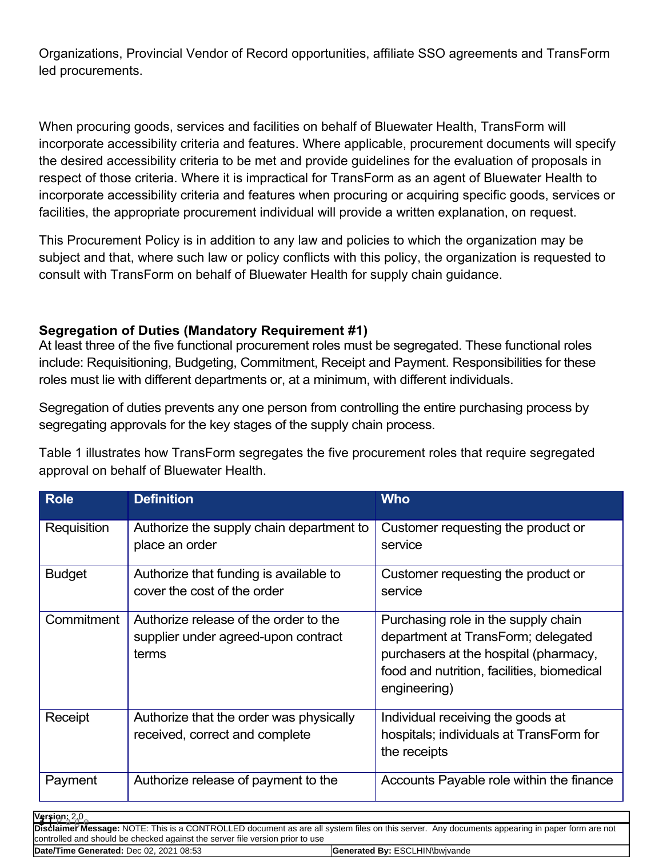Organizations, Provincial Vendor of Record opportunities, affiliate SSO agreements and TransForm led procurements.

When procuring goods, services and facilities on behalf of Bluewater Health, TransForm will incorporate accessibility criteria and features. Where applicable, procurement documents will specify the desired accessibility criteria to be met and provide guidelines for the evaluation of proposals in respect of those criteria. Where it is impractical for TransForm as an agent of Bluewater Health to incorporate accessibility criteria and features when procuring or acquiring specific goods, services or facilities, the appropriate procurement individual will provide a written explanation, on request.

This Procurement Policy is in addition to any law and policies to which the organization may be subject and that, where such law or policy conflicts with this policy, the organization is requested to consult with TransForm on behalf of Bluewater Health for supply chain guidance.

### **Segregation of Duties (Mandatory Requirement #1)**

At least three of the five functional procurement roles must be segregated. These functional roles include: Requisitioning, Budgeting, Commitment, Receipt and Payment. Responsibilities for these roles must lie with different departments or, at a minimum, with different individuals.

Segregation of duties prevents any one person from controlling the entire purchasing process by segregating approvals for the key stages of the supply chain process.

Table 1 illustrates how TransForm segregates the five procurement roles that require segregated approval on behalf of Bluewater Health.

| <b>Role</b>   | <b>Definition</b>                                                                     | <b>Who</b>                                                                                                                                                                       |
|---------------|---------------------------------------------------------------------------------------|----------------------------------------------------------------------------------------------------------------------------------------------------------------------------------|
| Requisition   | Authorize the supply chain department to<br>place an order                            | Customer requesting the product or<br>service                                                                                                                                    |
| <b>Budget</b> | Authorize that funding is available to<br>cover the cost of the order                 | Customer requesting the product or<br>service                                                                                                                                    |
| Commitment    | Authorize release of the order to the<br>supplier under agreed-upon contract<br>terms | Purchasing role in the supply chain<br>department at TransForm; delegated<br>purchasers at the hospital (pharmacy,<br>food and nutrition, facilities, biomedical<br>engineering) |
| Receipt       | Authorize that the order was physically<br>received, correct and complete             | Individual receiving the goods at<br>hospitals; individuals at TransForm for<br>the receipts                                                                                     |
| Payment       | Authorize release of payment to the                                                   | Accounts Payable role within the finance                                                                                                                                         |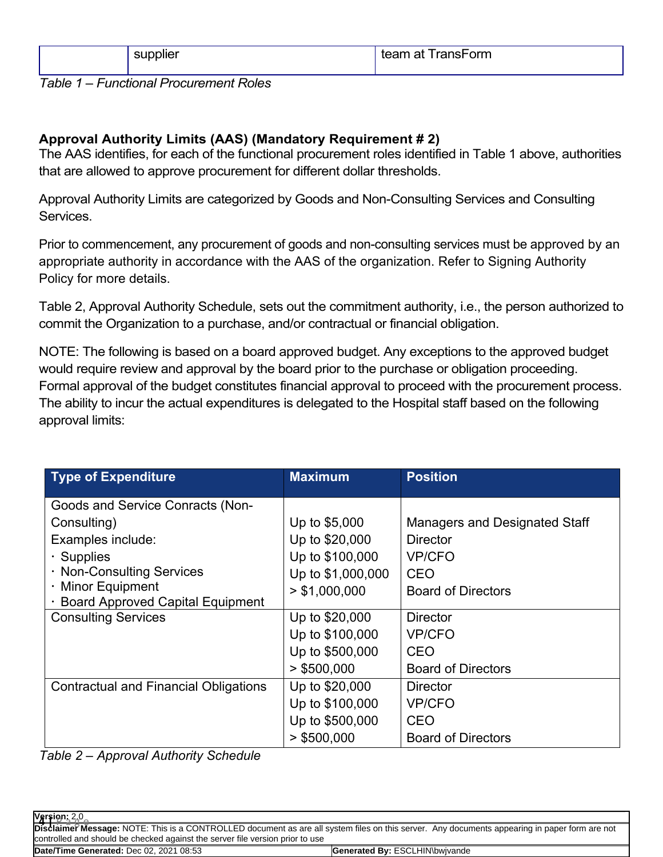| $ -$<br>.<br>pplier | ranshorm<br>team at |
|---------------------|---------------------|
|                     |                     |

*Table 1 – Functional Procurement Roles*

## **Approval Authority Limits (AAS) (Mandatory Requirement # 2)**

The AAS identifies, for each of the functional procurement roles identified in Table 1 above, authorities that are allowed to approve procurement for different dollar thresholds.

Approval Authority Limits are categorized by Goods and Non-Consulting Services and Consulting Services.

Prior to commencement, any procurement of goods and non-consulting services must be approved by an appropriate authority in accordance with the AAS of the organization. Refer to Signing Authority Policy for more details.

Table 2, Approval Authority Schedule, sets out the commitment authority, i.e., the person authorized to commit the Organization to a purchase, and/or contractual or financial obligation.

NOTE: The following is based on a board approved budget. Any exceptions to the approved budget would require review and approval by the board prior to the purchase or obligation proceeding. Formal approval of the budget constitutes financial approval to proceed with the procurement process. The ability to incur the actual expenditures is delegated to the Hospital staff based on the following approval limits:

| <b>Type of Expenditure</b>                   | <b>Maximum</b>    | <b>Position</b>                      |
|----------------------------------------------|-------------------|--------------------------------------|
| <b>Goods and Service Conracts (Non-</b>      |                   |                                      |
| Consulting)                                  | Up to \$5,000     | <b>Managers and Designated Staff</b> |
| Examples include:                            | Up to \$20,000    | <b>Director</b>                      |
| $\cdot$ Supplies                             | Up to \$100,000   | <b>VP/CFO</b>                        |
| · Non-Consulting Services                    | Up to \$1,000,000 | CEO                                  |
| · Minor Equipment                            | > \$1,000,000     | <b>Board of Directors</b>            |
| · Board Approved Capital Equipment           |                   |                                      |
| <b>Consulting Services</b>                   | Up to \$20,000    | <b>Director</b>                      |
|                                              | Up to \$100,000   | <b>VP/CFO</b>                        |
|                                              | Up to \$500,000   | <b>CEO</b>                           |
|                                              | $>$ \$500,000     | <b>Board of Directors</b>            |
| <b>Contractual and Financial Obligations</b> | Up to \$20,000    | <b>Director</b>                      |
|                                              | Up to \$100,000   | <b>VP/CFO</b>                        |
|                                              | Up to \$500,000   | <b>CEO</b>                           |
|                                              | $>$ \$500,000     | <b>Board of Directors</b>            |

*Table 2 – Approval Authority Schedule*

| Version: 2,0<br>Disclaimer Message: NOTE: This is a CONTROLLED document as are all system files on this server. Any documents appearing in paper form are not |                                       |  |
|---------------------------------------------------------------------------------------------------------------------------------------------------------------|---------------------------------------|--|
|                                                                                                                                                               |                                       |  |
| controlled and should be checked against the server file version prior to use                                                                                 |                                       |  |
| Date/Time Generated: Dec 02, 2021 08:53                                                                                                                       | <b>Generated By: ESCLHIN\bwivande</b> |  |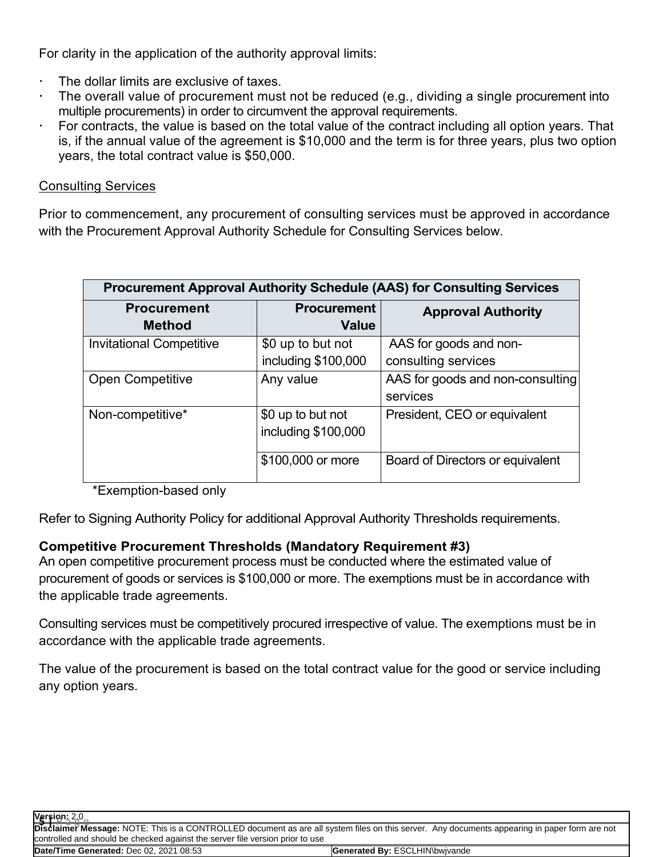For clarity in the application of the authority approval limits:

- The dollar limits are exclusive of taxes.
- The overall value of procurement must not be reduced (e.g., dividing a single procurement into multiple procurements) in order to circumvent the approval requirements.
- For contracts, the value is based on the total value of the contract including all option years. That is, if the annual value of the agreement is \$10,000 and the term is for three years, plus two option years, the total contract value is \$50,000.

#### Consulting Services

Prior to commencement, any procurement of consulting services must be approved in accordance with the Procurement Approval Authority Schedule for Consulting Services below.

| <b>Procurement Approval Authority Schedule (AAS) for Consulting Services</b> |                                          |                                               |
|------------------------------------------------------------------------------|------------------------------------------|-----------------------------------------------|
| <b>Procurement</b><br>Method                                                 | <b>Procurement</b><br><b>Value</b>       | <b>Approval Authority</b>                     |
| <b>Invitational Competitive</b>                                              | \$0 up to but not<br>including \$100,000 | AAS for goods and non-<br>consulting services |
| <b>Open Competitive</b>                                                      | Any value                                | AAS for goods and non-consulting<br>services  |
| Non-competitive*                                                             | \$0 up to but not<br>including \$100,000 | President, CEO or equivalent                  |
|                                                                              | \$100,000 or more                        | Board of Directors or equivalent              |

\*Exemption-based only

Refer to Signing Authority Policy for additional Approval Authority Thresholds requirements.

### **Competitive Procurement Thresholds (Mandatory Requirement #3)**

An open competitive procurement process must be conducted where the estimated value of procurement of goods or services is \$100,000 or more. The exemptions must be in accordance with the applicable trade agreements.

Consulting services must be competitively procured irrespective of value. The exemptions must be in accordance with the applicable trade agreements.

The value of the procurement is based on the total contract value for the good or service including any option years.

**Version:** 2.0 **5 |** P a g e

**Disclaimer Message:** NOTE: This is a CONTROLLED document as are all system files on this server. Any documents appearing in paper form are not controlled and should be checked against the server file version prior to use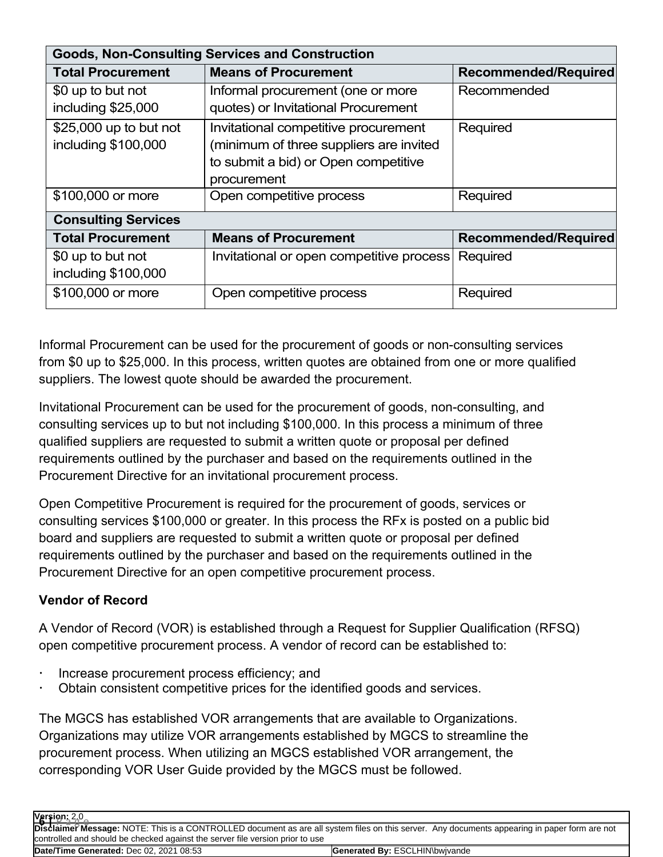| <b>Goods, Non-Consulting Services and Construction</b> |                                          |                             |
|--------------------------------------------------------|------------------------------------------|-----------------------------|
| <b>Total Procurement</b>                               | <b>Means of Procurement</b>              | <b>Recommended/Required</b> |
| \$0 up to but not                                      | Informal procurement (one or more        | Recommended                 |
| including \$25,000                                     | quotes) or Invitational Procurement      |                             |
| \$25,000 up to but not                                 | Invitational competitive procurement     | Required                    |
| including \$100,000                                    | (minimum of three suppliers are invited  |                             |
|                                                        | to submit a bid) or Open competitive     |                             |
|                                                        | procurement                              |                             |
| \$100,000 or more                                      | Open competitive process                 | Required                    |
| <b>Consulting Services</b>                             |                                          |                             |
| <b>Total Procurement</b>                               | <b>Means of Procurement</b>              | <b>Recommended/Required</b> |
| \$0 up to but not                                      | Invitational or open competitive process | Required                    |
| including \$100,000                                    |                                          |                             |
| \$100,000 or more                                      | Open competitive process                 | Required                    |

Informal Procurement can be used for the procurement of goods or non-consulting services from \$0 up to \$25,000. In this process, written quotes are obtained from one or more qualified suppliers. The lowest quote should be awarded the procurement.

Invitational Procurement can be used for the procurement of goods, non-consulting, and consulting services up to but not including \$100,000. In this process a minimum of three qualified suppliers are requested to submit a written quote or proposal per defined requirements outlined by the purchaser and based on the requirements outlined in the Procurement Directive for an invitational procurement process.

Open Competitive Procurement is required for the procurement of goods, services or consulting services \$100,000 or greater. In this process the RFx is posted on a public bid board and suppliers are requested to submit a written quote or proposal per defined requirements outlined by the purchaser and based on the requirements outlined in the Procurement Directive for an open competitive procurement process.

# **Vendor of Record**

A Vendor of Record (VOR) is established through a Request for Supplier Qualification (RFSQ) open competitive procurement process. A vendor of record can be established to:

- Increase procurement process efficiency; and
- Obtain consistent competitive prices for the identified goods and services.

The MGCS has established VOR arrangements that are available to Organizations. Organizations may utilize VOR arrangements established by MGCS to streamline the procurement process. When utilizing an MGCS established VOR arrangement, the corresponding VOR User Guide provided by the MGCS must be followed.

| Version: 2,0<br>Disclaimer Message: NOTE: This is a CONTROLLED document as are all system files on this server. Any documents appearing in paper form are not |                                       |
|---------------------------------------------------------------------------------------------------------------------------------------------------------------|---------------------------------------|
|                                                                                                                                                               |                                       |
| controlled and should be checked against the server file version prior to use                                                                                 |                                       |
| Date/Time Generated: Dec 02, 2021 08:53                                                                                                                       | <b>Generated By: ESCLHIN\bwivande</b> |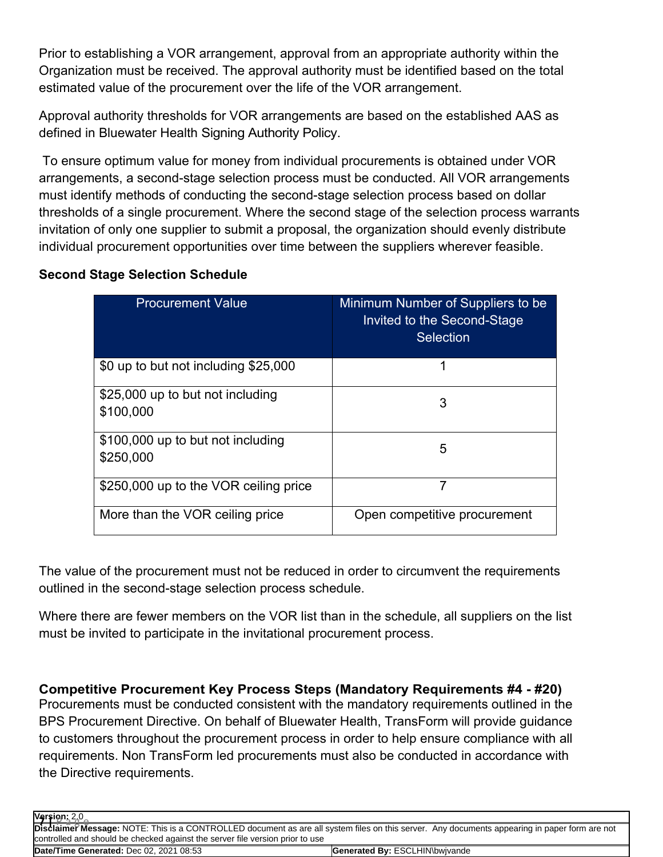Prior to establishing a VOR arrangement, approval from an appropriate authority within the Organization must be received. The approval authority must be identified based on the total estimated value of the procurement over the life of the VOR arrangement.

Approval authority thresholds for VOR arrangements are based on the established AAS as defined in Bluewater Health Signing Authority Policy.

To ensure optimum value for money from individual procurements is obtained under VOR arrangements, a second-stage selection process must be conducted. All VOR arrangements must identify methods of conducting the second-stage selection process based on dollar thresholds of a single procurement. Where the second stage of the selection process warrants invitation of only one supplier to submit a proposal, the organization should evenly distribute individual procurement opportunities over time between the suppliers wherever feasible.

### **Second Stage Selection Schedule**

| <b>Procurement Value</b>                       | Minimum Number of Suppliers to be<br>Invited to the Second-Stage<br><b>Selection</b> |
|------------------------------------------------|--------------------------------------------------------------------------------------|
| \$0 up to but not including \$25,000           | 1                                                                                    |
| \$25,000 up to but not including<br>\$100,000  | 3                                                                                    |
| \$100,000 up to but not including<br>\$250,000 | 5                                                                                    |
| \$250,000 up to the VOR ceiling price          | 7                                                                                    |
| More than the VOR ceiling price                | Open competitive procurement                                                         |

The value of the procurement must not be reduced in order to circumvent the requirements outlined in the second-stage selection process schedule.

Where there are fewer members on the VOR list than in the schedule, all suppliers on the list must be invited to participate in the invitational procurement process.

**Competitive Procurement Key Process Steps (Mandatory Requirements #4 - #20)** Procurements must be conducted consistent with the mandatory requirements outlined in the BPS Procurement Directive. On behalf of Bluewater Health, TransForm will provide guidance to customers throughout the procurement process in order to help ensure compliance with all requirements. Non TransForm led procurements must also be conducted in accordance with the Directive requirements.

| Version: 2.0<br>Disclaimer Message: NOTE: This is a CONTROLLED document as are all system files on this server. Any documents appearing in paper form are not |                                       |
|---------------------------------------------------------------------------------------------------------------------------------------------------------------|---------------------------------------|
|                                                                                                                                                               |                                       |
| controlled and should be checked against the server file version prior to use                                                                                 |                                       |
| Date/Time Generated: Dec 02. 2021 08:53                                                                                                                       | <b>Generated By: ESCLHIN\bwivande</b> |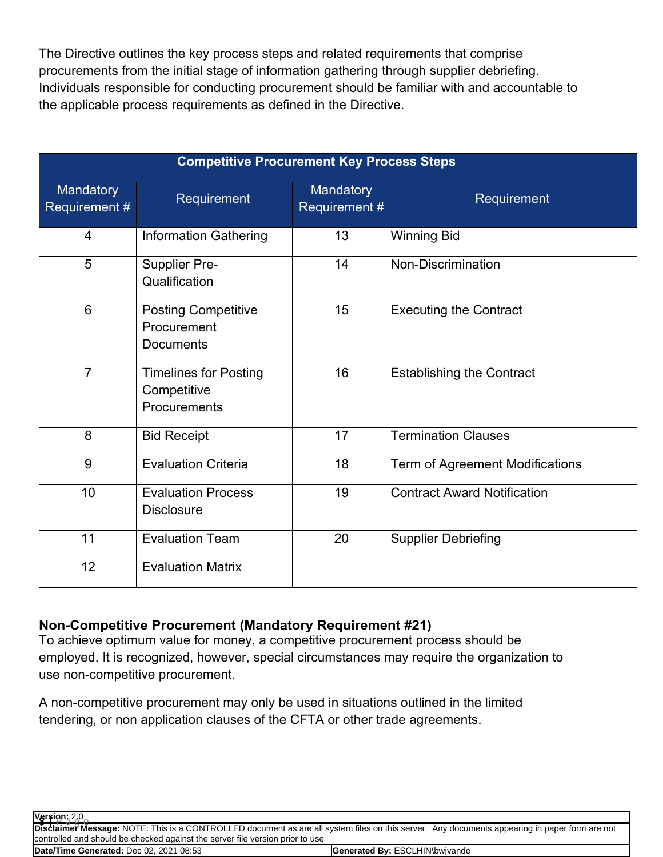The Directive outlines the key process steps and related requirements that comprise procurements from the initial stage of information gathering through supplier debriefing. Individuals responsible for conducting procurement should be familiar with and accountable to the applicable process requirements as defined in the Directive.

| <b>Competitive Procurement Key Process Steps</b> |                                                             |                            |                                    |  |  |  |
|--------------------------------------------------|-------------------------------------------------------------|----------------------------|------------------------------------|--|--|--|
| Mandatory<br>Requirement #                       | <b>Requirement</b>                                          | Mandatory<br>Requirement # | Requirement                        |  |  |  |
| 4                                                | <b>Information Gathering</b>                                | 13                         | <b>Winning Bid</b>                 |  |  |  |
| 5                                                | Supplier Pre-<br>Qualification                              | 14                         | Non-Discrimination                 |  |  |  |
| 6                                                | <b>Posting Competitive</b><br>Procurement<br>Documents      | 15                         | <b>Executing the Contract</b>      |  |  |  |
| $\overline{7}$                                   | <b>Timelines for Posting</b><br>Competitive<br>Procurements | 16                         | <b>Establishing the Contract</b>   |  |  |  |
| 8                                                | <b>Bid Receipt</b>                                          | 17                         | <b>Termination Clauses</b>         |  |  |  |
| 9                                                | <b>Evaluation Criteria</b>                                  | 18                         | Term of Agreement Modifications    |  |  |  |
| 10                                               | <b>Evaluation Process</b><br><b>Disclosure</b>              | 19                         | <b>Contract Award Notification</b> |  |  |  |
| 11                                               | <b>Evaluation Team</b>                                      | 20                         | <b>Supplier Debriefing</b>         |  |  |  |
| 12                                               | <b>Evaluation Matrix</b>                                    |                            |                                    |  |  |  |

#### **Non-Competitive Procurement (Mandatory Requirement #21)**

To achieve optimum value for money, a competitive procurement process should be employed. It is recognized, however, special circumstances may require the organization to use non-competitive procurement.

A non-competitive procurement may only be used in situations outlined in the limited tendering, or non application clauses of the CFTA or other trade agreements.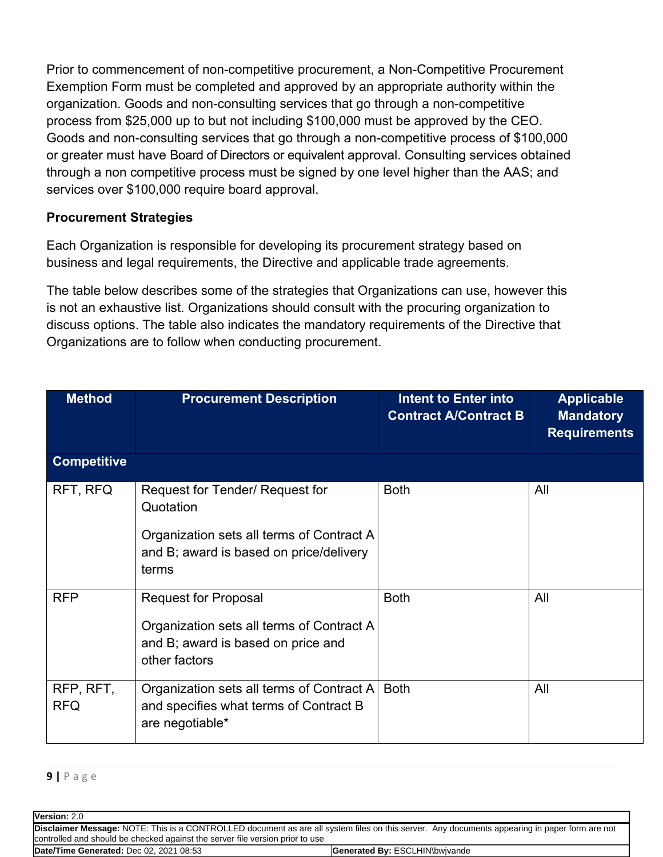Prior to commencement of non-competitive procurement, a Non-Competitive Procurement Exemption Form must be completed and approved by an appropriate authority within the organization. Goods and non-consulting services that go through a non-competitive process from \$25,000 up to but not including \$100,000 must be approved by the CEO. Goods and non-consulting services that go through a non-competitive process of \$100,000 or greater must have Board of Directors or equivalent approval. Consulting services obtained through a non competitive process must be signed by one level higher than the AAS; and services over \$100,000 require board approval.

### **Procurement Strategies**

Each Organization is responsible for developing its procurement strategy based on business and legal requirements, the Directive and applicable trade agreements.

The table below describes some of the strategies that Organizations can use, however this is not an exhaustive list. Organizations should consult with the procuring organization to discuss options. The table also indicates the mandatory requirements of the Directive that Organizations are to follow when conducting procurement.

| <b>Method</b>           | <b>Procurement Description</b>                                                                                                                | <b>Intent to Enter into</b><br><b>Contract A/Contract B</b> | <b>Applicable</b><br><b>Mandatory</b><br><b>Requirements</b> |
|-------------------------|-----------------------------------------------------------------------------------------------------------------------------------------------|-------------------------------------------------------------|--------------------------------------------------------------|
| <b>Competitive</b>      |                                                                                                                                               |                                                             |                                                              |
| RFT, RFQ                | Request for Tender/ Request for<br>Quotation<br>Organization sets all terms of Contract A<br>and B; award is based on price/delivery<br>terms | <b>Both</b>                                                 | All                                                          |
| <b>RFP</b>              | <b>Request for Proposal</b><br>Organization sets all terms of Contract A<br>and B; award is based on price and<br>other factors               | <b>Both</b>                                                 | All                                                          |
| RFP, RFT,<br><b>RFQ</b> | Organization sets all terms of Contract A<br>and specifies what terms of Contract B<br>are negotiable*                                        | <b>Both</b>                                                 | All                                                          |

**9 |** P a g e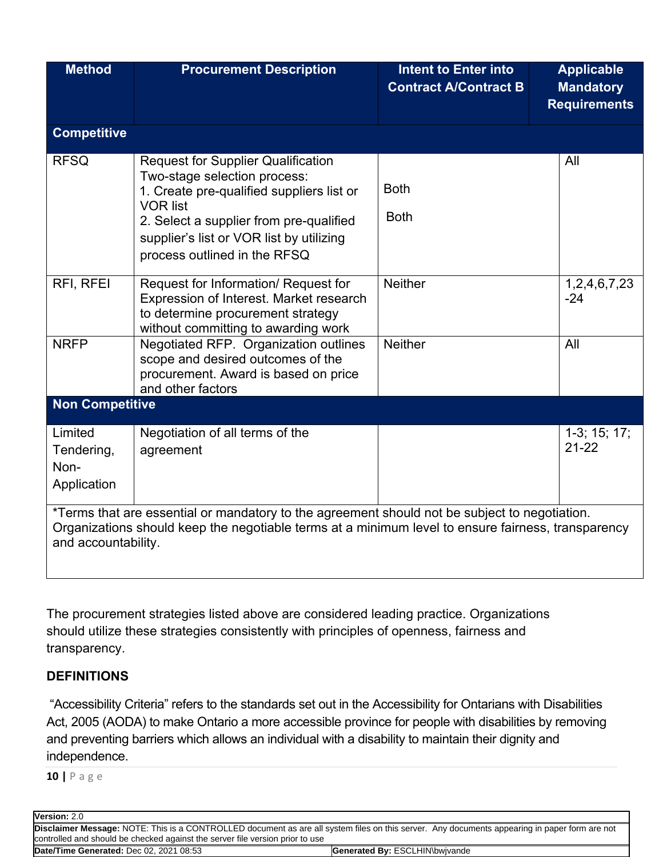| <b>Method</b>                                                                                                                                                                                                              | <b>Procurement Description</b>                                                                                                                                                                                                                                   | <b>Intent to Enter into</b><br><b>Contract A/Contract B</b> | <b>Applicable</b><br><b>Mandatory</b><br><b>Requirements</b> |  |  |  |
|----------------------------------------------------------------------------------------------------------------------------------------------------------------------------------------------------------------------------|------------------------------------------------------------------------------------------------------------------------------------------------------------------------------------------------------------------------------------------------------------------|-------------------------------------------------------------|--------------------------------------------------------------|--|--|--|
| <b>Competitive</b>                                                                                                                                                                                                         |                                                                                                                                                                                                                                                                  |                                                             |                                                              |  |  |  |
| <b>RFSQ</b>                                                                                                                                                                                                                | <b>Request for Supplier Qualification</b><br>Two-stage selection process:<br>1. Create pre-qualified suppliers list or<br><b>VOR list</b><br>2. Select a supplier from pre-qualified<br>supplier's list or VOR list by utilizing<br>process outlined in the RFSQ | <b>Both</b><br><b>Both</b>                                  | All                                                          |  |  |  |
| RFI, RFEI                                                                                                                                                                                                                  | Request for Information/ Request for<br>Expression of Interest. Market research<br>to determine procurement strategy<br>without committing to awarding work                                                                                                      | <b>Neither</b>                                              | 1,2,4,6,7,23<br>$-24$                                        |  |  |  |
| <b>NRFP</b>                                                                                                                                                                                                                | Negotiated RFP. Organization outlines<br>scope and desired outcomes of the<br>procurement. Award is based on price<br>and other factors                                                                                                                          | <b>Neither</b>                                              | All                                                          |  |  |  |
| <b>Non Competitive</b>                                                                                                                                                                                                     |                                                                                                                                                                                                                                                                  |                                                             |                                                              |  |  |  |
| Limited<br>Tendering,<br>Non-<br>Application                                                                                                                                                                               | Negotiation of all terms of the<br>agreement                                                                                                                                                                                                                     |                                                             | $1-3; 15; 17;$<br>$21 - 22$                                  |  |  |  |
| *Terms that are essential or mandatory to the agreement should not be subject to negotiation.<br>Organizations should keep the negotiable terms at a minimum level to ensure fairness, transparency<br>and accountability. |                                                                                                                                                                                                                                                                  |                                                             |                                                              |  |  |  |

The procurement strategies listed above are considered leading practice. Organizations should utilize these strategies consistently with principles of openness, fairness and transparency.

### **DEFINITIONS**

"Accessibility Criteria" refers to the standards set out in the Accessibility for Ontarians with Disabilities Act, 2005 (AODA) to make Ontario a more accessible province for people with disabilities by removing and preventing barriers which allows an individual with a disability to maintain their dignity and independence.

**10 |** P a g e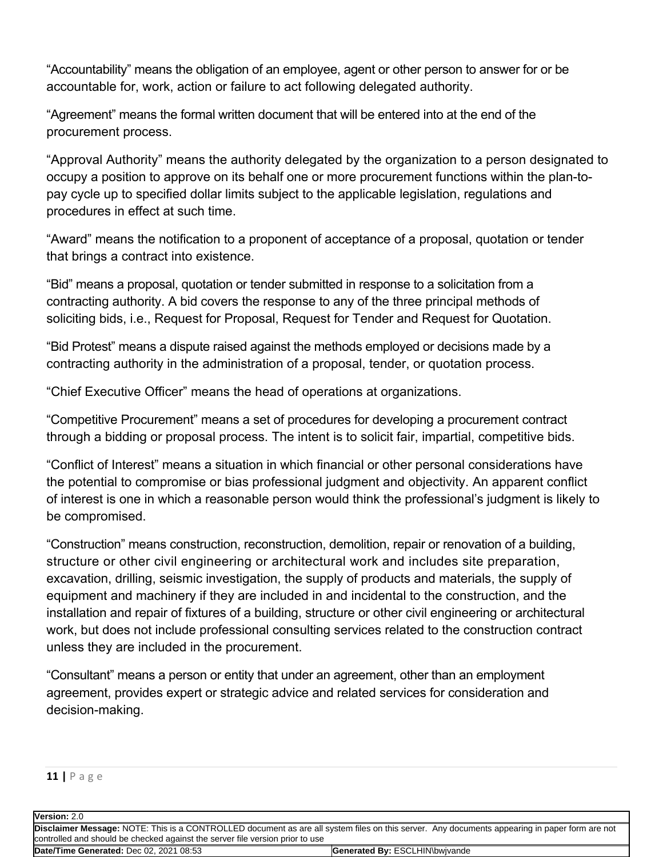"Accountability" means the obligation of an employee, agent or other person to answer for or be accountable for, work, action or failure to act following delegated authority.

"Agreement" means the formal written document that will be entered into at the end of the procurement process.

"Approval Authority" means the authority delegated by the organization to a person designated to occupy a position to approve on its behalf one or more procurement functions within the plan-topay cycle up to specified dollar limits subject to the applicable legislation, regulations and procedures in effect at such time.

"Award" means the notification to a proponent of acceptance of a proposal, quotation or tender that brings a contract into existence.

"Bid" means a proposal, quotation or tender submitted in response to a solicitation from a contracting authority. A bid covers the response to any of the three principal methods of soliciting bids, i.e., Request for Proposal, Request for Tender and Request for Quotation.

"Bid Protest" means a dispute raised against the methods employed or decisions made by a contracting authority in the administration of a proposal, tender, or quotation process.

"Chief Executive Officer" means the head of operations at organizations.

"Competitive Procurement" means a set of procedures for developing a procurement contract through a bidding or proposal process. The intent is to solicit fair, impartial, competitive bids.

"Conflict of Interest" means a situation in which financial or other personal considerations have the potential to compromise or bias professional judgment and objectivity. An apparent conflict of interest is one in which a reasonable person would think the professional's judgment is likely to be compromised.

"Construction" means construction, reconstruction, demolition, repair or renovation of a building, structure or other civil engineering or architectural work and includes site preparation, excavation, drilling, seismic investigation, the supply of products and materials, the supply of equipment and machinery if they are included in and incidental to the construction, and the installation and repair of fixtures of a building, structure or other civil engineering or architectural work, but does not include professional consulting services related to the construction contract unless they are included in the procurement.

"Consultant" means a person or entity that under an agreement, other than an employment agreement, provides expert or strategic advice and related services for consideration and decision-making.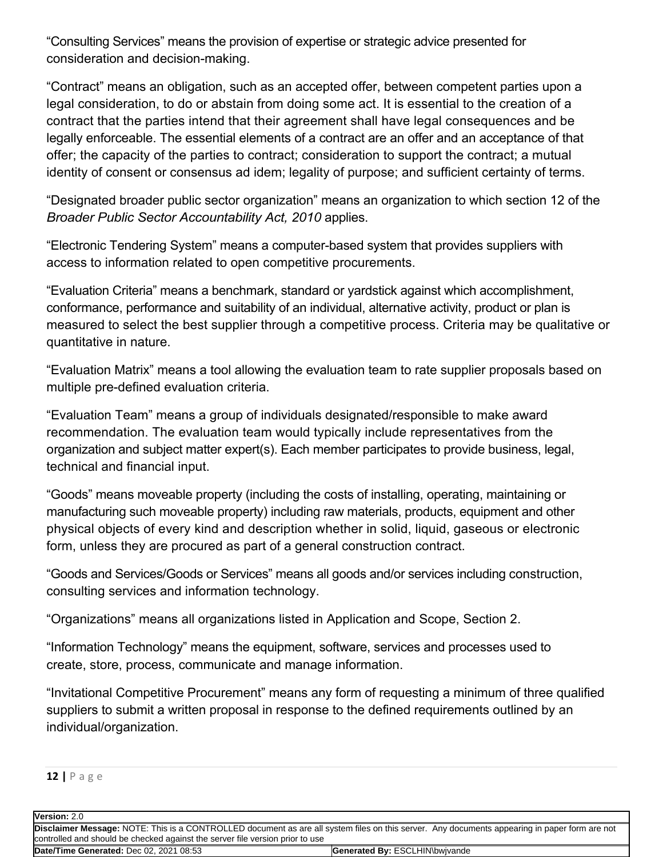"Consulting Services" means the provision of expertise or strategic advice presented for consideration and decision-making.

"Contract" means an obligation, such as an accepted offer, between competent parties upon a legal consideration, to do or abstain from doing some act. It is essential to the creation of a contract that the parties intend that their agreement shall have legal consequences and be legally enforceable. The essential elements of a contract are an offer and an acceptance of that offer; the capacity of the parties to contract; consideration to support the contract; a mutual identity of consent or consensus ad idem; legality of purpose; and sufficient certainty of terms.

"Designated broader public sector organization" means an organization to which section 12 of the *Broader Public Sector Accountability Act, 2010* applies.

"Electronic Tendering System" means a computer-based system that provides suppliers with access to information related to open competitive procurements.

"Evaluation Criteria" means a benchmark, standard or yardstick against which accomplishment, conformance, performance and suitability of an individual, alternative activity, product or plan is measured to select the best supplier through a competitive process. Criteria may be qualitative or quantitative in nature.

"Evaluation Matrix" means a tool allowing the evaluation team to rate supplier proposals based on multiple pre-defined evaluation criteria.

"Evaluation Team" means a group of individuals designated/responsible to make award recommendation. The evaluation team would typically include representatives from the organization and subject matter expert(s). Each member participates to provide business, legal, technical and financial input.

"Goods" means moveable property (including the costs of installing, operating, maintaining or manufacturing such moveable property) including raw materials, products, equipment and other physical objects of every kind and description whether in solid, liquid, gaseous or electronic form, unless they are procured as part of a general construction contract.

"Goods and Services/Goods or Services" means all goods and/or services including construction, consulting services and information technology.

"Organizations" means all organizations listed in Application and Scope, Section 2.

"Information Technology" means the equipment, software, services and processes used to create, store, process, communicate and manage information.

"Invitational Competitive Procurement" means any form of requesting a minimum of three qualified suppliers to submit a written proposal in response to the defined requirements outlined by an individual/organization.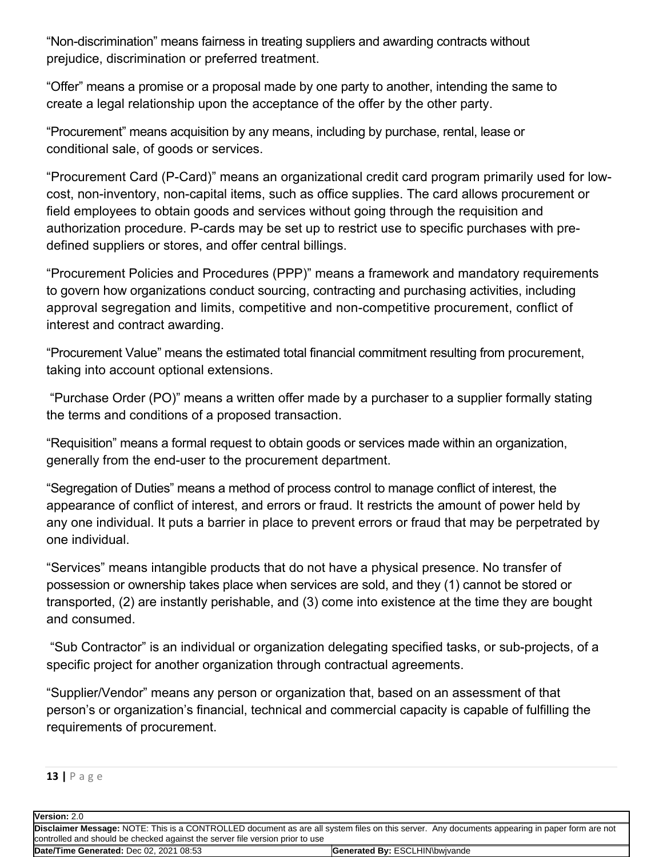"Non-discrimination" means fairness in treating suppliers and awarding contracts without prejudice, discrimination or preferred treatment.

"Offer" means a promise or a proposal made by one party to another, intending the same to create a legal relationship upon the acceptance of the offer by the other party.

"Procurement" means acquisition by any means, including by purchase, rental, lease or conditional sale, of goods or services.

"Procurement Card (P-Card)" means an organizational credit card program primarily used for lowcost, non-inventory, non-capital items, such as office supplies. The card allows procurement or field employees to obtain goods and services without going through the requisition and authorization procedure. P-cards may be set up to restrict use to specific purchases with predefined suppliers or stores, and offer central billings.

"Procurement Policies and Procedures (PPP)" means a framework and mandatory requirements to govern how organizations conduct sourcing, contracting and purchasing activities, including approval segregation and limits, competitive and non-competitive procurement, conflict of interest and contract awarding.

"Procurement Value" means the estimated total financial commitment resulting from procurement, taking into account optional extensions.

"Purchase Order (PO)" means a written offer made by a purchaser to a supplier formally stating the terms and conditions of a proposed transaction.

"Requisition" means a formal request to obtain goods or services made within an organization, generally from the end-user to the procurement department.

"Segregation of Duties" means a method of process control to manage conflict of interest, the appearance of conflict of interest, and errors or fraud. It restricts the amount of power held by any one individual. It puts a barrier in place to prevent errors or fraud that may be perpetrated by one individual.

"Services" means intangible products that do not have a physical presence. No transfer of possession or ownership takes place when services are sold, and they (1) cannot be stored or transported, (2) are instantly perishable, and (3) come into existence at the time they are bought and consumed.

"Sub Contractor" is an individual or organization delegating specified tasks, or sub-projects, of a specific project for another organization through contractual agreements.

"Supplier/Vendor" means any person or organization that, based on an assessment of that person's or organization's financial, technical and commercial capacity is capable of fulfilling the requirements of procurement.